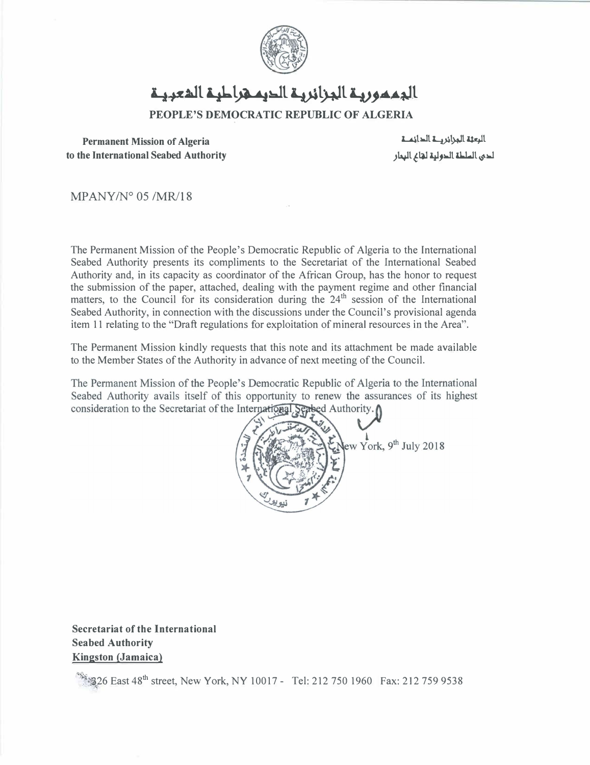

# الجممورية الجزائرية الديم هراطية المعبية

**PEOPLE'S DEMOCRATIC REPUBLIC OF ALGERIA** 

**Permanent Mission of Algeria to the International Seabed Authority** 

**الرعثة المحزائر هـ 1 الدائمـ 1** لدى ال*ططة* الدولية لتانح البحار

MPANY/N° 05 /MR/18

The Permanent Mission of the People's Democratic Republic of Algeria to the International Seabed Authority presents its compliments to the Secretariat of the International Seabed Authority and, in its capacity as coordinator of the African Group, has the honor to request the submission of the paper, attached, dealing with the payment regime and other financial matters, to the Council for its consideration during the  $24<sup>th</sup>$  session of the International Seabed Authority, in connection with the discussions under the Council's provisional agenda item 11 relating to the "Draft regulations for exploitation of mineral resources in the Area".

The Permanent Mission kindly requests that this note and its attachment be made available to the Member States of the Authority in advance of next meeting of the Council.

The Permanent Mission of the People's Democratic Republic of Algeria to the International Seabed Authority avails itself of this opportunity to renew the assurances of its highest consideration to the Secretariat of the International Seabed Authority.



**Secretariat of the International Seabed Authority Kingston (Jamaica)** 

 $\mathbb{S}$  26 East 48<sup>th</sup> street, New York, NY 10017 - Tel: 212 750 1960 Fax: 212 759 9538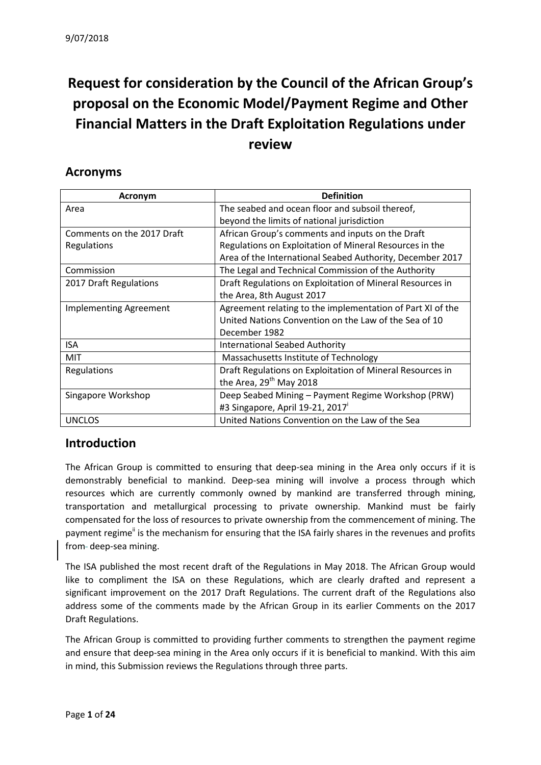# **Request for consideration by the Council of the African Group's proposal on the Economic Model/Payment Regime and Other Financial Matters in the Draft Exploitation Regulations under review**

### **Acronyms**

| Acronym                       | <b>Definition</b>                                          |  |
|-------------------------------|------------------------------------------------------------|--|
| Area                          | The seabed and ocean floor and subsoil thereof,            |  |
|                               | beyond the limits of national jurisdiction                 |  |
| Comments on the 2017 Draft    | African Group's comments and inputs on the Draft           |  |
| Regulations                   | Regulations on Exploitation of Mineral Resources in the    |  |
|                               | Area of the International Seabed Authority, December 2017  |  |
| Commission                    | The Legal and Technical Commission of the Authority        |  |
| 2017 Draft Regulations        | Draft Regulations on Exploitation of Mineral Resources in  |  |
|                               | the Area, 8th August 2017                                  |  |
| <b>Implementing Agreement</b> | Agreement relating to the implementation of Part XI of the |  |
|                               | United Nations Convention on the Law of the Sea of 10      |  |
|                               | December 1982                                              |  |
| ISA                           | <b>International Seabed Authority</b>                      |  |
| MIT                           | Massachusetts Institute of Technology                      |  |
| <b>Regulations</b>            | Draft Regulations on Exploitation of Mineral Resources in  |  |
|                               | the Area, 29 <sup>th</sup> May 2018                        |  |
| Singapore Workshop            | Deep Seabed Mining - Payment Regime Workshop (PRW)         |  |
|                               | #3 Singapore, April 19-21, 2017                            |  |
| <b>UNCLOS</b>                 | United Nations Convention on the Law of the Sea            |  |

### **Introduction**

The African Group is committed to ensuring that deep-sea mining in the Area only occurs if it is demonstrably beneficial to mankind. Deep-sea mining will involve a process through which resources which are currently commonly owned by mankind are transferred through mining, transportation and metallurgical processing to private ownership. Mankind must be fairly compensated for the loss of resources to private ownership from the commencement of mining. The payment regime<sup>ii</sup> is the mechanism for ensuring that the ISA fairly shares in the revenues and profits from-deep-sea mining.

The ISA published the most recent draft of the Regulations in May 2018. The African Group would like to compliment the ISA on these Regulations, which are clearly drafted and represent a significant improvement on the 2017 Draft Regulations. The current draft of the Regulations also address some of the comments made by the African Group in its earlier Comments on the 2017 Draft Regulations.

The African Group is committed to providing further comments to strengthen the payment regime and ensure that deep-sea mining in the Area only occurs if it is beneficial to mankind. With this aim in mind, this Submission reviews the Regulations through three parts.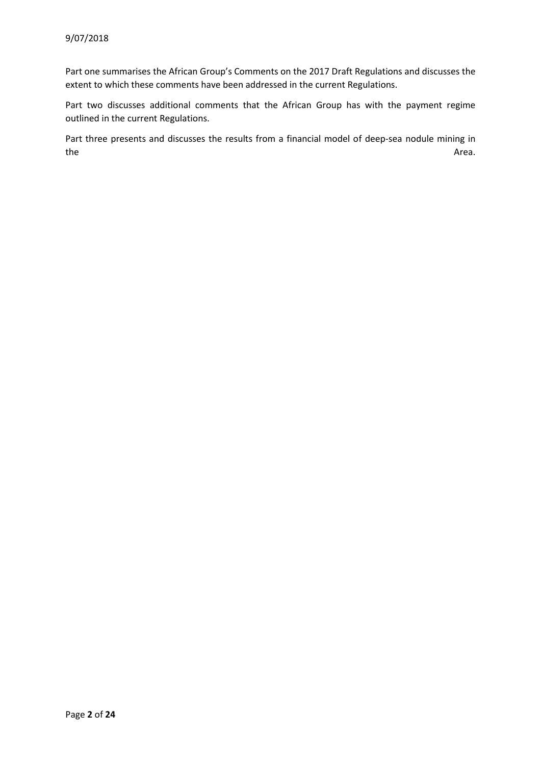Part one summarises the African Group's Comments on the 2017 Draft Regulations and discusses the extent to which these comments have been addressed in the current Regulations.

Part two discusses additional comments that the African Group has with the payment regime outlined in the current Regulations.

Part three presents and discusses the results from a financial model of deep-sea nodule mining in the according to the Area. The Area is the Area in the Area is the Area in the Area is the Area in the Area in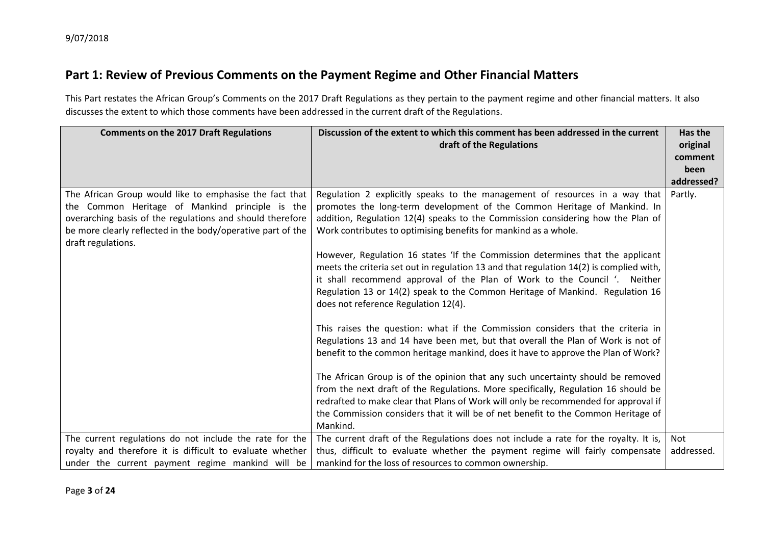# **Part 1: Review of Previous Comments on the Payment Regime and Other Financial Matters**

This Part restates the African Group's Comments on the 2017 Draft Regulations as they pertain to the payment regime and other financial matters. It also discusses the extent to which those comments have been addressed in the current draft of the Regulations.

| <b>Comments on the 2017 Draft Regulations</b>               | Discussion of the extent to which this comment has been addressed in the current        |            |
|-------------------------------------------------------------|-----------------------------------------------------------------------------------------|------------|
|                                                             | draft of the Regulations                                                                | original   |
|                                                             |                                                                                         | comment    |
|                                                             |                                                                                         | been       |
|                                                             |                                                                                         | addressed? |
| The African Group would like to emphasise the fact that     | Regulation 2 explicitly speaks to the management of resources in a way that             | Partly.    |
| the Common Heritage of Mankind principle is the             | promotes the long-term development of the Common Heritage of Mankind. In                |            |
| overarching basis of the regulations and should therefore   | addition, Regulation 12(4) speaks to the Commission considering how the Plan of         |            |
| be more clearly reflected in the body/operative part of the | Work contributes to optimising benefits for mankind as a whole.                         |            |
| draft regulations.                                          |                                                                                         |            |
|                                                             | However, Regulation 16 states 'If the Commission determines that the applicant          |            |
|                                                             | meets the criteria set out in regulation 13 and that regulation 14(2) is complied with, |            |
|                                                             | it shall recommend approval of the Plan of Work to the Council '. Neither               |            |
|                                                             | Regulation 13 or 14(2) speak to the Common Heritage of Mankind. Regulation 16           |            |
|                                                             | does not reference Regulation 12(4).                                                    |            |
|                                                             |                                                                                         |            |
|                                                             | This raises the question: what if the Commission considers that the criteria in         |            |
|                                                             | Regulations 13 and 14 have been met, but that overall the Plan of Work is not of        |            |
|                                                             | benefit to the common heritage mankind, does it have to approve the Plan of Work?       |            |
|                                                             | The African Group is of the opinion that any such uncertainty should be removed         |            |
|                                                             | from the next draft of the Regulations. More specifically, Regulation 16 should be      |            |
|                                                             | redrafted to make clear that Plans of Work will only be recommended for approval if     |            |
|                                                             | the Commission considers that it will be of net benefit to the Common Heritage of       |            |
|                                                             | Mankind.                                                                                |            |
| The current regulations do not include the rate for the     | The current draft of the Regulations does not include a rate for the royalty. It is,    | Not        |
|                                                             |                                                                                         | addressed. |
| royalty and therefore it is difficult to evaluate whether   | thus, difficult to evaluate whether the payment regime will fairly compensate           |            |
| under the current payment regime mankind will be            | mankind for the loss of resources to common ownership.                                  |            |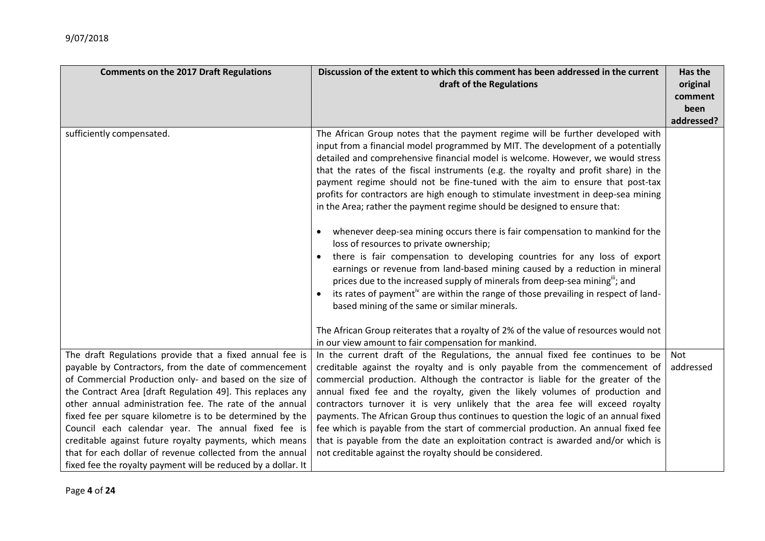| <b>Comments on the 2017 Draft Regulations</b>                                                                                                                                                                                                                                                                                                                                                                                                                                                                                                                                                                      | Discussion of the extent to which this comment has been addressed in the current<br>draft of the Regulations                                                                                                                                                                                                                                                                                                                                                                                                                                                                                                                                                                                                                                                                                                                                                                                                                                                                                                                                                                                                                                                                                                                                                              |                  |
|--------------------------------------------------------------------------------------------------------------------------------------------------------------------------------------------------------------------------------------------------------------------------------------------------------------------------------------------------------------------------------------------------------------------------------------------------------------------------------------------------------------------------------------------------------------------------------------------------------------------|---------------------------------------------------------------------------------------------------------------------------------------------------------------------------------------------------------------------------------------------------------------------------------------------------------------------------------------------------------------------------------------------------------------------------------------------------------------------------------------------------------------------------------------------------------------------------------------------------------------------------------------------------------------------------------------------------------------------------------------------------------------------------------------------------------------------------------------------------------------------------------------------------------------------------------------------------------------------------------------------------------------------------------------------------------------------------------------------------------------------------------------------------------------------------------------------------------------------------------------------------------------------------|------------------|
| sufficiently compensated.                                                                                                                                                                                                                                                                                                                                                                                                                                                                                                                                                                                          | The African Group notes that the payment regime will be further developed with<br>input from a financial model programmed by MIT. The development of a potentially<br>detailed and comprehensive financial model is welcome. However, we would stress<br>that the rates of the fiscal instruments (e.g. the royalty and profit share) in the<br>payment regime should not be fine-tuned with the aim to ensure that post-tax<br>profits for contractors are high enough to stimulate investment in deep-sea mining<br>in the Area; rather the payment regime should be designed to ensure that:<br>whenever deep-sea mining occurs there is fair compensation to mankind for the<br>loss of resources to private ownership;<br>there is fair compensation to developing countries for any loss of export<br>earnings or revenue from land-based mining caused by a reduction in mineral<br>prices due to the increased supply of minerals from deep-sea mining"; and<br>its rates of payment <sup>iv</sup> are within the range of those prevailing in respect of land-<br>based mining of the same or similar minerals.<br>The African Group reiterates that a royalty of 2% of the value of resources would not<br>in our view amount to fair compensation for mankind. | addressed?       |
| The draft Regulations provide that a fixed annual fee is<br>payable by Contractors, from the date of commencement<br>of Commercial Production only- and based on the size of<br>the Contract Area [draft Regulation 49]. This replaces any<br>other annual administration fee. The rate of the annual<br>fixed fee per square kilometre is to be determined by the<br>Council each calendar year. The annual fixed fee is<br>creditable against future royalty payments, which means<br>that for each dollar of revenue collected from the annual<br>fixed fee the royalty payment will be reduced by a dollar. It | In the current draft of the Regulations, the annual fixed fee continues to be<br>creditable against the royalty and is only payable from the commencement of<br>commercial production. Although the contractor is liable for the greater of the<br>annual fixed fee and the royalty, given the likely volumes of production and<br>contractors turnover it is very unlikely that the area fee will exceed royalty<br>payments. The African Group thus continues to question the logic of an annual fixed<br>fee which is payable from the start of commercial production. An annual fixed fee<br>that is payable from the date an exploitation contract is awarded and/or which is<br>not creditable against the royalty should be considered.                                                                                                                                                                                                                                                                                                                                                                                                                                                                                                                            | Not<br>addressed |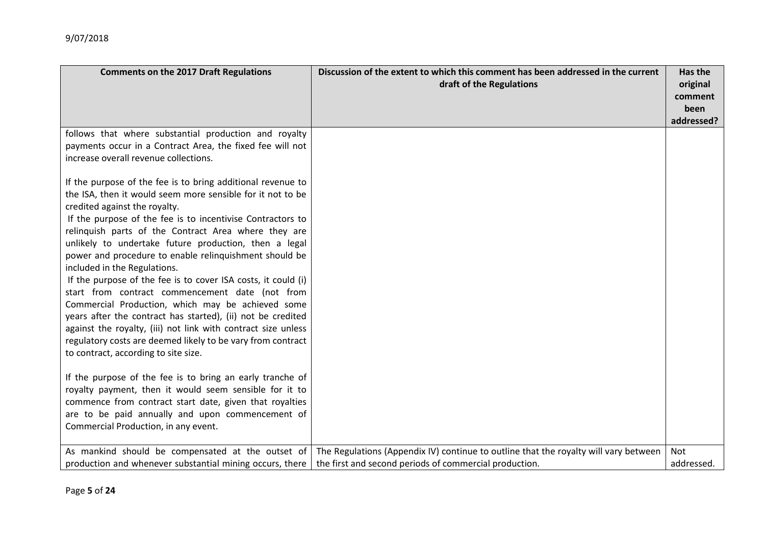| <b>Comments on the 2017 Draft Regulations</b>                                                                                                                                                                                                                                                                                                                                                                                                                                                                                                                                                                                                                                                                                                                                                                                                                                                                    | Discussion of the extent to which this comment has been addressed in the current<br>draft of the Regulations                                   |                   |
|------------------------------------------------------------------------------------------------------------------------------------------------------------------------------------------------------------------------------------------------------------------------------------------------------------------------------------------------------------------------------------------------------------------------------------------------------------------------------------------------------------------------------------------------------------------------------------------------------------------------------------------------------------------------------------------------------------------------------------------------------------------------------------------------------------------------------------------------------------------------------------------------------------------|------------------------------------------------------------------------------------------------------------------------------------------------|-------------------|
| follows that where substantial production and royalty<br>payments occur in a Contract Area, the fixed fee will not<br>increase overall revenue collections.                                                                                                                                                                                                                                                                                                                                                                                                                                                                                                                                                                                                                                                                                                                                                      |                                                                                                                                                |                   |
| If the purpose of the fee is to bring additional revenue to<br>the ISA, then it would seem more sensible for it not to be<br>credited against the royalty.<br>If the purpose of the fee is to incentivise Contractors to<br>relinquish parts of the Contract Area where they are<br>unlikely to undertake future production, then a legal<br>power and procedure to enable relinquishment should be<br>included in the Regulations.<br>If the purpose of the fee is to cover ISA costs, it could (i)<br>start from contract commencement date (not from<br>Commercial Production, which may be achieved some<br>years after the contract has started), (ii) not be credited<br>against the royalty, (iii) not link with contract size unless<br>regulatory costs are deemed likely to be vary from contract<br>to contract, according to site size.<br>If the purpose of the fee is to bring an early tranche of |                                                                                                                                                |                   |
| royalty payment, then it would seem sensible for it to<br>commence from contract start date, given that royalties<br>are to be paid annually and upon commencement of<br>Commercial Production, in any event.                                                                                                                                                                                                                                                                                                                                                                                                                                                                                                                                                                                                                                                                                                    |                                                                                                                                                |                   |
| As mankind should be compensated at the outset of<br>production and whenever substantial mining occurs, there                                                                                                                                                                                                                                                                                                                                                                                                                                                                                                                                                                                                                                                                                                                                                                                                    | The Regulations (Appendix IV) continue to outline that the royalty will vary between<br>the first and second periods of commercial production. | Not<br>addressed. |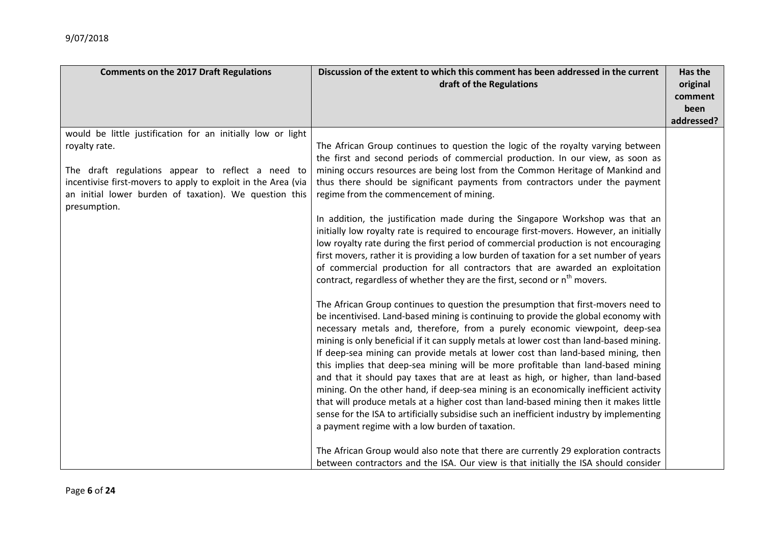| <b>Comments on the 2017 Draft Regulations</b>                                                                                                                                                                                                                                | Discussion of the extent to which this comment has been addressed in the current<br>draft of the Regulations                                                                                                                                                                                                                                                                                                                                                                                                                                                                                                                                                                                                                                                                                                                                                                                                                                                                                                                                                                                                                                                                                                                                                                                                                                                                                                                                                                                                                                                                                                                                                                                                                                                                                                                                                                                                                                                                                                                                                | Has the<br>original<br>comment<br>been<br>addressed? |
|------------------------------------------------------------------------------------------------------------------------------------------------------------------------------------------------------------------------------------------------------------------------------|-------------------------------------------------------------------------------------------------------------------------------------------------------------------------------------------------------------------------------------------------------------------------------------------------------------------------------------------------------------------------------------------------------------------------------------------------------------------------------------------------------------------------------------------------------------------------------------------------------------------------------------------------------------------------------------------------------------------------------------------------------------------------------------------------------------------------------------------------------------------------------------------------------------------------------------------------------------------------------------------------------------------------------------------------------------------------------------------------------------------------------------------------------------------------------------------------------------------------------------------------------------------------------------------------------------------------------------------------------------------------------------------------------------------------------------------------------------------------------------------------------------------------------------------------------------------------------------------------------------------------------------------------------------------------------------------------------------------------------------------------------------------------------------------------------------------------------------------------------------------------------------------------------------------------------------------------------------------------------------------------------------------------------------------------------------|------------------------------------------------------|
| would be little justification for an initially low or light<br>royalty rate.<br>The draft regulations appear to reflect a need to<br>incentivise first-movers to apply to exploit in the Area (via<br>an initial lower burden of taxation). We question this<br>presumption. | The African Group continues to question the logic of the royalty varying between<br>the first and second periods of commercial production. In our view, as soon as<br>mining occurs resources are being lost from the Common Heritage of Mankind and<br>thus there should be significant payments from contractors under the payment<br>regime from the commencement of mining.<br>In addition, the justification made during the Singapore Workshop was that an<br>initially low royalty rate is required to encourage first-movers. However, an initially<br>low royalty rate during the first period of commercial production is not encouraging<br>first movers, rather it is providing a low burden of taxation for a set number of years<br>of commercial production for all contractors that are awarded an exploitation<br>contract, regardless of whether they are the first, second or n <sup>th</sup> movers.<br>The African Group continues to question the presumption that first-movers need to<br>be incentivised. Land-based mining is continuing to provide the global economy with<br>necessary metals and, therefore, from a purely economic viewpoint, deep-sea<br>mining is only beneficial if it can supply metals at lower cost than land-based mining.<br>If deep-sea mining can provide metals at lower cost than land-based mining, then<br>this implies that deep-sea mining will be more profitable than land-based mining<br>and that it should pay taxes that are at least as high, or higher, than land-based<br>mining. On the other hand, if deep-sea mining is an economically inefficient activity<br>that will produce metals at a higher cost than land-based mining then it makes little<br>sense for the ISA to artificially subsidise such an inefficient industry by implementing<br>a payment regime with a low burden of taxation.<br>The African Group would also note that there are currently 29 exploration contracts<br>between contractors and the ISA. Our view is that initially the ISA should consider |                                                      |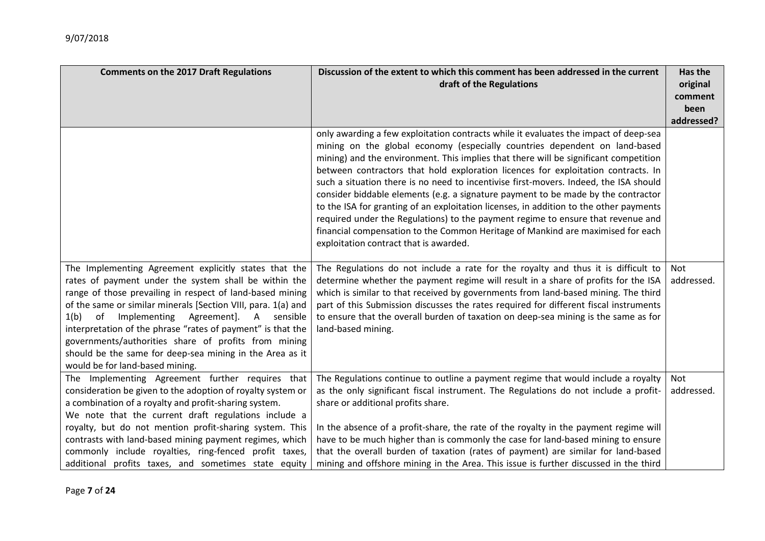| Discussion of the extent to which this comment has been addressed in the current<br><b>Comments on the 2017 Draft Regulations</b><br>draft of the Regulations                                                                                                                                                                                                                                                                                                                                                              |                                                                                                                                                                                                                                                                                                                                                                                                                                                                                                                                                                                                                                                                                                                                                                                                                                          | Has the<br>original<br>comment |
|----------------------------------------------------------------------------------------------------------------------------------------------------------------------------------------------------------------------------------------------------------------------------------------------------------------------------------------------------------------------------------------------------------------------------------------------------------------------------------------------------------------------------|------------------------------------------------------------------------------------------------------------------------------------------------------------------------------------------------------------------------------------------------------------------------------------------------------------------------------------------------------------------------------------------------------------------------------------------------------------------------------------------------------------------------------------------------------------------------------------------------------------------------------------------------------------------------------------------------------------------------------------------------------------------------------------------------------------------------------------------|--------------------------------|
|                                                                                                                                                                                                                                                                                                                                                                                                                                                                                                                            |                                                                                                                                                                                                                                                                                                                                                                                                                                                                                                                                                                                                                                                                                                                                                                                                                                          | been<br>addressed?             |
|                                                                                                                                                                                                                                                                                                                                                                                                                                                                                                                            | only awarding a few exploitation contracts while it evaluates the impact of deep-sea<br>mining on the global economy (especially countries dependent on land-based<br>mining) and the environment. This implies that there will be significant competition<br>between contractors that hold exploration licences for exploitation contracts. In<br>such a situation there is no need to incentivise first-movers. Indeed, the ISA should<br>consider biddable elements (e.g. a signature payment to be made by the contractor<br>to the ISA for granting of an exploitation licenses, in addition to the other payments<br>required under the Regulations) to the payment regime to ensure that revenue and<br>financial compensation to the Common Heritage of Mankind are maximised for each<br>exploitation contract that is awarded. |                                |
| The Implementing Agreement explicitly states that the<br>rates of payment under the system shall be within the<br>range of those prevailing in respect of land-based mining<br>of the same or similar minerals [Section VIII, para. 1(a) and<br>1(b)<br>Implementing<br>Agreement]. A sensible<br>of<br>interpretation of the phrase "rates of payment" is that the<br>governments/authorities share of profits from mining<br>should be the same for deep-sea mining in the Area as it<br>would be for land-based mining. | The Regulations do not include a rate for the royalty and thus it is difficult to<br>determine whether the payment regime will result in a share of profits for the ISA<br>which is similar to that received by governments from land-based mining. The third<br>part of this Submission discusses the rates required for different fiscal instruments<br>to ensure that the overall burden of taxation on deep-sea mining is the same as for<br>land-based mining.                                                                                                                                                                                                                                                                                                                                                                      | Not<br>addressed.              |
| The Implementing Agreement further requires that<br>consideration be given to the adoption of royalty system or<br>a combination of a royalty and profit-sharing system.<br>We note that the current draft regulations include a<br>royalty, but do not mention profit-sharing system. This<br>contrasts with land-based mining payment regimes, which<br>commonly include royalties, ring-fenced profit taxes,<br>additional profits taxes, and sometimes state equity                                                    | The Regulations continue to outline a payment regime that would include a royalty<br>as the only significant fiscal instrument. The Regulations do not include a profit-<br>share or additional profits share.<br>In the absence of a profit-share, the rate of the royalty in the payment regime will<br>have to be much higher than is commonly the case for land-based mining to ensure<br>that the overall burden of taxation (rates of payment) are similar for land-based<br>mining and offshore mining in the Area. This issue is further discussed in the third                                                                                                                                                                                                                                                                  | Not<br>addressed.              |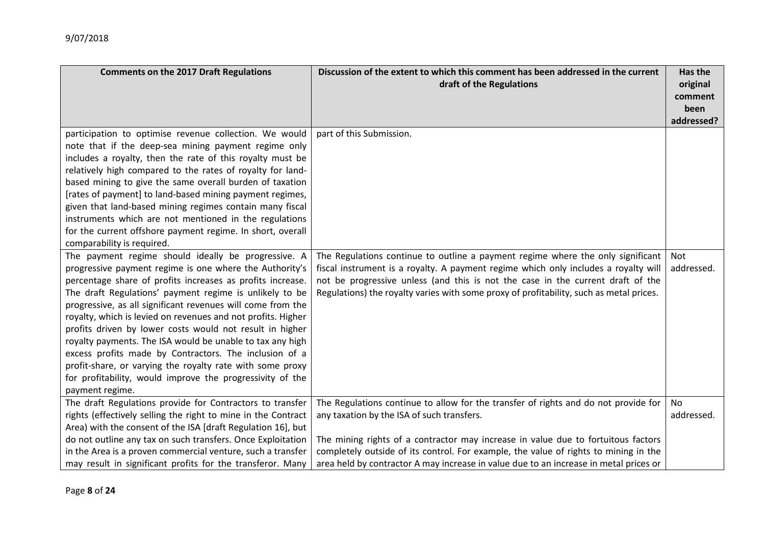| <b>Comments on the 2017 Draft Regulations</b>                                                                                                                                                                                                                                                                                                                                                                                                                                                                                                                                                                                                                                                          | Discussion of the extent to which this comment has been addressed in the current<br>draft of the Regulations                                                                                                                                                                                                                                                                                            |                   |
|--------------------------------------------------------------------------------------------------------------------------------------------------------------------------------------------------------------------------------------------------------------------------------------------------------------------------------------------------------------------------------------------------------------------------------------------------------------------------------------------------------------------------------------------------------------------------------------------------------------------------------------------------------------------------------------------------------|---------------------------------------------------------------------------------------------------------------------------------------------------------------------------------------------------------------------------------------------------------------------------------------------------------------------------------------------------------------------------------------------------------|-------------------|
| participation to optimise revenue collection. We would<br>note that if the deep-sea mining payment regime only<br>includes a royalty, then the rate of this royalty must be<br>relatively high compared to the rates of royalty for land-<br>based mining to give the same overall burden of taxation<br>[rates of payment] to land-based mining payment regimes,<br>given that land-based mining regimes contain many fiscal<br>instruments which are not mentioned in the regulations<br>for the current offshore payment regime. In short, overall<br>comparability is required.                                                                                                                    | part of this Submission.                                                                                                                                                                                                                                                                                                                                                                                |                   |
| The payment regime should ideally be progressive. A<br>progressive payment regime is one where the Authority's<br>percentage share of profits increases as profits increase.<br>The draft Regulations' payment regime is unlikely to be<br>progressive, as all significant revenues will come from the<br>royalty, which is levied on revenues and not profits. Higher<br>profits driven by lower costs would not result in higher<br>royalty payments. The ISA would be unable to tax any high<br>excess profits made by Contractors. The inclusion of a<br>profit-share, or varying the royalty rate with some proxy<br>for profitability, would improve the progressivity of the<br>payment regime. | The Regulations continue to outline a payment regime where the only significant<br>fiscal instrument is a royalty. A payment regime which only includes a royalty will<br>not be progressive unless (and this is not the case in the current draft of the<br>Regulations) the royalty varies with some proxy of profitability, such as metal prices.                                                    | Not<br>addressed. |
| The draft Regulations provide for Contractors to transfer<br>rights (effectively selling the right to mine in the Contract<br>Area) with the consent of the ISA [draft Regulation 16], but<br>do not outline any tax on such transfers. Once Exploitation<br>in the Area is a proven commercial venture, such a transfer<br>may result in significant profits for the transferor. Many                                                                                                                                                                                                                                                                                                                 | The Regulations continue to allow for the transfer of rights and do not provide for<br>any taxation by the ISA of such transfers.<br>The mining rights of a contractor may increase in value due to fortuitous factors<br>completely outside of its control. For example, the value of rights to mining in the<br>area held by contractor A may increase in value due to an increase in metal prices or | No<br>addressed.  |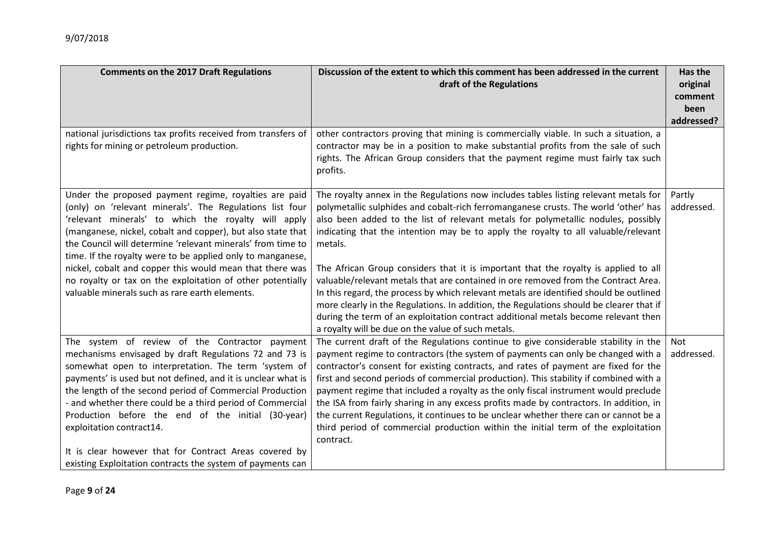| <b>Comments on the 2017 Draft Regulations</b>                                                                                                                                                                                                                                                                                                                                                                                                                                                                                                    | Discussion of the extent to which this comment has been addressed in the current<br>draft of the Regulations                                                                                                                                                                                                                                                                                                                                                                                                                                                                                                                                                                                                                        | Has the<br>original<br>comment<br>been |
|--------------------------------------------------------------------------------------------------------------------------------------------------------------------------------------------------------------------------------------------------------------------------------------------------------------------------------------------------------------------------------------------------------------------------------------------------------------------------------------------------------------------------------------------------|-------------------------------------------------------------------------------------------------------------------------------------------------------------------------------------------------------------------------------------------------------------------------------------------------------------------------------------------------------------------------------------------------------------------------------------------------------------------------------------------------------------------------------------------------------------------------------------------------------------------------------------------------------------------------------------------------------------------------------------|----------------------------------------|
|                                                                                                                                                                                                                                                                                                                                                                                                                                                                                                                                                  |                                                                                                                                                                                                                                                                                                                                                                                                                                                                                                                                                                                                                                                                                                                                     | addressed?                             |
| national jurisdictions tax profits received from transfers of<br>rights for mining or petroleum production.                                                                                                                                                                                                                                                                                                                                                                                                                                      | other contractors proving that mining is commercially viable. In such a situation, a<br>contractor may be in a position to make substantial profits from the sale of such<br>rights. The African Group considers that the payment regime must fairly tax such<br>profits.                                                                                                                                                                                                                                                                                                                                                                                                                                                           |                                        |
| Under the proposed payment regime, royalties are paid<br>(only) on 'relevant minerals'. The Regulations list four<br>'relevant minerals' to which the royalty will apply<br>(manganese, nickel, cobalt and copper), but also state that<br>the Council will determine 'relevant minerals' from time to<br>time. If the royalty were to be applied only to manganese,<br>nickel, cobalt and copper this would mean that there was<br>no royalty or tax on the exploitation of other potentially<br>valuable minerals such as rare earth elements. | The royalty annex in the Regulations now includes tables listing relevant metals for<br>polymetallic sulphides and cobalt-rich ferromanganese crusts. The world 'other' has<br>also been added to the list of relevant metals for polymetallic nodules, possibly<br>indicating that the intention may be to apply the royalty to all valuable/relevant<br>metals.<br>The African Group considers that it is important that the royalty is applied to all<br>valuable/relevant metals that are contained in ore removed from the Contract Area.<br>In this regard, the process by which relevant metals are identified should be outlined<br>more clearly in the Regulations. In addition, the Regulations should be clearer that if | Partly<br>addressed.                   |
|                                                                                                                                                                                                                                                                                                                                                                                                                                                                                                                                                  | during the term of an exploitation contract additional metals become relevant then<br>a royalty will be due on the value of such metals.                                                                                                                                                                                                                                                                                                                                                                                                                                                                                                                                                                                            |                                        |
| The system of review of the Contractor payment<br>mechanisms envisaged by draft Regulations 72 and 73 is<br>somewhat open to interpretation. The term 'system of<br>payments' is used but not defined, and it is unclear what is<br>the length of the second period of Commercial Production<br>- and whether there could be a third period of Commercial<br>Production before the end of the initial (30-year)<br>exploitation contract14.<br>It is clear however that for Contract Areas covered by                                            | The current draft of the Regulations continue to give considerable stability in the<br>payment regime to contractors (the system of payments can only be changed with a<br>contractor's consent for existing contracts, and rates of payment are fixed for the<br>first and second periods of commercial production). This stability if combined with a<br>payment regime that included a royalty as the only fiscal instrument would preclude<br>the ISA from fairly sharing in any excess profits made by contractors. In addition, in<br>the current Regulations, it continues to be unclear whether there can or cannot be a<br>third period of commercial production within the initial term of the exploitation<br>contract.  | Not<br>addressed.                      |
| existing Exploitation contracts the system of payments can                                                                                                                                                                                                                                                                                                                                                                                                                                                                                       |                                                                                                                                                                                                                                                                                                                                                                                                                                                                                                                                                                                                                                                                                                                                     |                                        |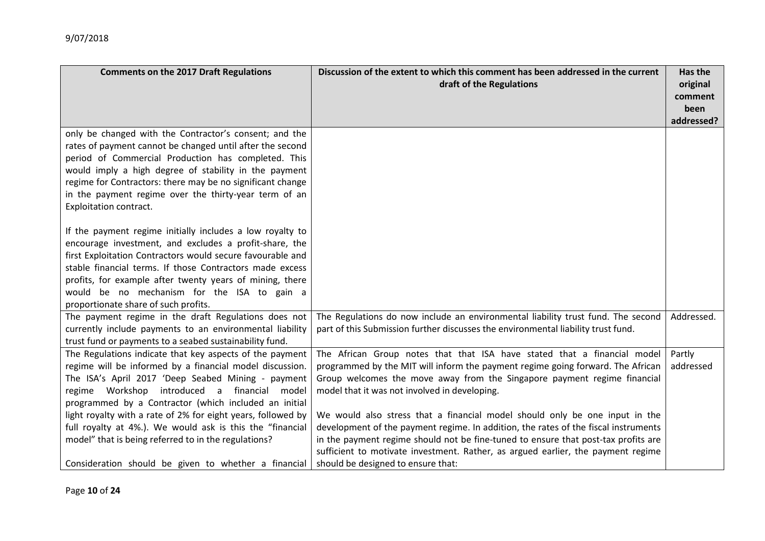| <b>Comments on the 2017 Draft Regulations</b>                                                                                                                                                                                                                                                                                                                                                                                                                                                                                    | Discussion of the extent to which this comment has been addressed in the current<br>draft of the Regulations                                                                                                                                                                                                                                                                                                                                                                                                                                                                                                                                                                   |                     |
|----------------------------------------------------------------------------------------------------------------------------------------------------------------------------------------------------------------------------------------------------------------------------------------------------------------------------------------------------------------------------------------------------------------------------------------------------------------------------------------------------------------------------------|--------------------------------------------------------------------------------------------------------------------------------------------------------------------------------------------------------------------------------------------------------------------------------------------------------------------------------------------------------------------------------------------------------------------------------------------------------------------------------------------------------------------------------------------------------------------------------------------------------------------------------------------------------------------------------|---------------------|
| only be changed with the Contractor's consent; and the<br>rates of payment cannot be changed until after the second<br>period of Commercial Production has completed. This<br>would imply a high degree of stability in the payment<br>regime for Contractors: there may be no significant change<br>in the payment regime over the thirty-year term of an<br>Exploitation contract.                                                                                                                                             |                                                                                                                                                                                                                                                                                                                                                                                                                                                                                                                                                                                                                                                                                |                     |
| If the payment regime initially includes a low royalty to<br>encourage investment, and excludes a profit-share, the<br>first Exploitation Contractors would secure favourable and<br>stable financial terms. If those Contractors made excess<br>profits, for example after twenty years of mining, there<br>would be no mechanism for the ISA to gain a<br>proportionate share of such profits.                                                                                                                                 |                                                                                                                                                                                                                                                                                                                                                                                                                                                                                                                                                                                                                                                                                |                     |
| The payment regime in the draft Regulations does not<br>currently include payments to an environmental liability<br>trust fund or payments to a seabed sustainability fund.                                                                                                                                                                                                                                                                                                                                                      | The Regulations do now include an environmental liability trust fund. The second<br>part of this Submission further discusses the environmental liability trust fund.                                                                                                                                                                                                                                                                                                                                                                                                                                                                                                          | Addressed.          |
| The Regulations indicate that key aspects of the payment<br>regime will be informed by a financial model discussion.<br>The ISA's April 2017 'Deep Seabed Mining - payment<br>regime Workshop introduced a financial model<br>programmed by a Contractor (which included an initial<br>light royalty with a rate of 2% for eight years, followed by<br>full royalty at 4%.). We would ask is this the "financial<br>model" that is being referred to in the regulations?<br>Consideration should be given to whether a financial | The African Group notes that that ISA have stated that a financial model<br>programmed by the MIT will inform the payment regime going forward. The African<br>Group welcomes the move away from the Singapore payment regime financial<br>model that it was not involved in developing.<br>We would also stress that a financial model should only be one input in the<br>development of the payment regime. In addition, the rates of the fiscal instruments<br>in the payment regime should not be fine-tuned to ensure that post-tax profits are<br>sufficient to motivate investment. Rather, as argued earlier, the payment regime<br>should be designed to ensure that: | Partly<br>addressed |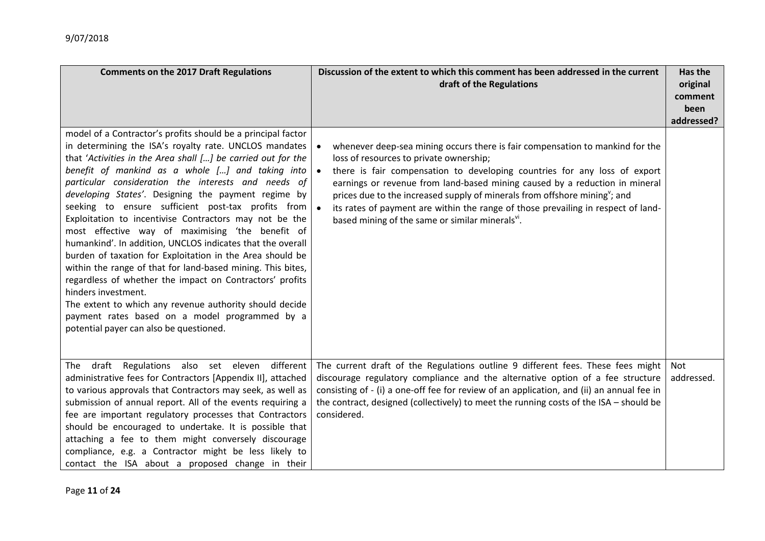| <b>Comments on the 2017 Draft Regulations</b>                                                                                                                                                                                                                                                                                                                                                                                                                                                                                                                                                                                                                                                                                                                                                                                                                                                                                                                     | Discussion of the extent to which this comment has been addressed in the current<br>draft of the Regulations                                                                                                                                                                                                                                                                                                                                                                                                                        | Has the<br>original<br>comment<br>been |
|-------------------------------------------------------------------------------------------------------------------------------------------------------------------------------------------------------------------------------------------------------------------------------------------------------------------------------------------------------------------------------------------------------------------------------------------------------------------------------------------------------------------------------------------------------------------------------------------------------------------------------------------------------------------------------------------------------------------------------------------------------------------------------------------------------------------------------------------------------------------------------------------------------------------------------------------------------------------|-------------------------------------------------------------------------------------------------------------------------------------------------------------------------------------------------------------------------------------------------------------------------------------------------------------------------------------------------------------------------------------------------------------------------------------------------------------------------------------------------------------------------------------|----------------------------------------|
| model of a Contractor's profits should be a principal factor<br>in determining the ISA's royalty rate. UNCLOS mandates<br>that 'Activities in the Area shall [] be carried out for the<br>benefit of mankind as a whole [] and taking into<br>particular consideration the interests and needs of<br>developing States'. Designing the payment regime by<br>seeking to ensure sufficient post-tax profits from<br>Exploitation to incentivise Contractors may not be the<br>most effective way of maximising 'the benefit of<br>humankind'. In addition, UNCLOS indicates that the overall<br>burden of taxation for Exploitation in the Area should be<br>within the range of that for land-based mining. This bites,<br>regardless of whether the impact on Contractors' profits<br>hinders investment.<br>The extent to which any revenue authority should decide<br>payment rates based on a model programmed by a<br>potential payer can also be questioned. | whenever deep-sea mining occurs there is fair compensation to mankind for the<br>loss of resources to private ownership;<br>there is fair compensation to developing countries for any loss of export<br>earnings or revenue from land-based mining caused by a reduction in mineral<br>prices due to the increased supply of minerals from offshore mining <sup>y</sup> ; and<br>its rates of payment are within the range of those prevailing in respect of land-<br>based mining of the same or similar minerals <sup>vi</sup> . | addressed?                             |
| The draft Regulations also set eleven different<br>administrative fees for Contractors [Appendix II], attached<br>to various approvals that Contractors may seek, as well as<br>submission of annual report. All of the events requiring a<br>fee are important regulatory processes that Contractors<br>should be encouraged to undertake. It is possible that<br>attaching a fee to them might conversely discourage<br>compliance, e.g. a Contractor might be less likely to<br>contact the ISA about a proposed change in their                                                                                                                                                                                                                                                                                                                                                                                                                               | The current draft of the Regulations outline 9 different fees. These fees might<br>discourage regulatory compliance and the alternative option of a fee structure<br>consisting of - (i) a one-off fee for review of an application, and (ii) an annual fee in<br>the contract, designed (collectively) to meet the running costs of the ISA - should be<br>considered.                                                                                                                                                             | Not<br>addressed.                      |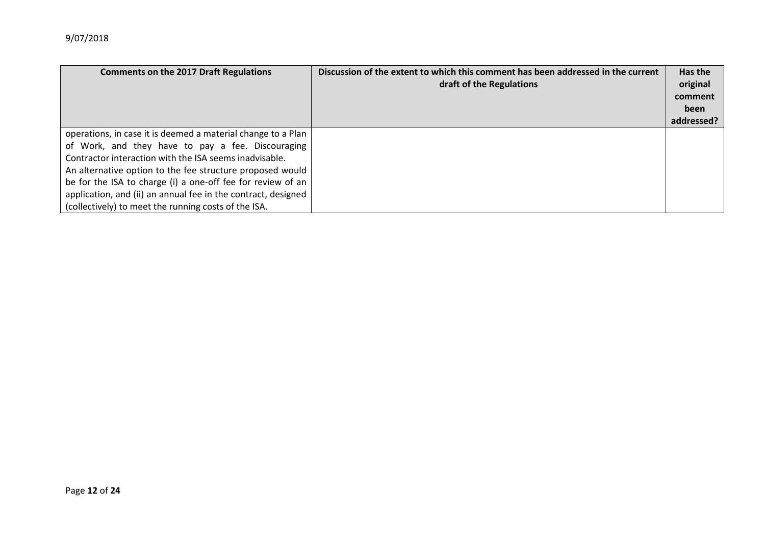| <b>Comments on the 2017 Draft Regulations</b>                 | Discussion of the extent to which this comment has been addressed in the current<br>draft of the Regulations | Has the<br>original<br>comment<br>been |
|---------------------------------------------------------------|--------------------------------------------------------------------------------------------------------------|----------------------------------------|
|                                                               |                                                                                                              | addressed?                             |
| operations, in case it is deemed a material change to a Plan  |                                                                                                              |                                        |
| of Work, and they have to pay a fee. Discouraging             |                                                                                                              |                                        |
| Contractor interaction with the ISA seems inadvisable.        |                                                                                                              |                                        |
| An alternative option to the fee structure proposed would     |                                                                                                              |                                        |
| be for the ISA to charge (i) a one-off fee for review of an   |                                                                                                              |                                        |
| application, and (ii) an annual fee in the contract, designed |                                                                                                              |                                        |
| (collectively) to meet the running costs of the ISA.          |                                                                                                              |                                        |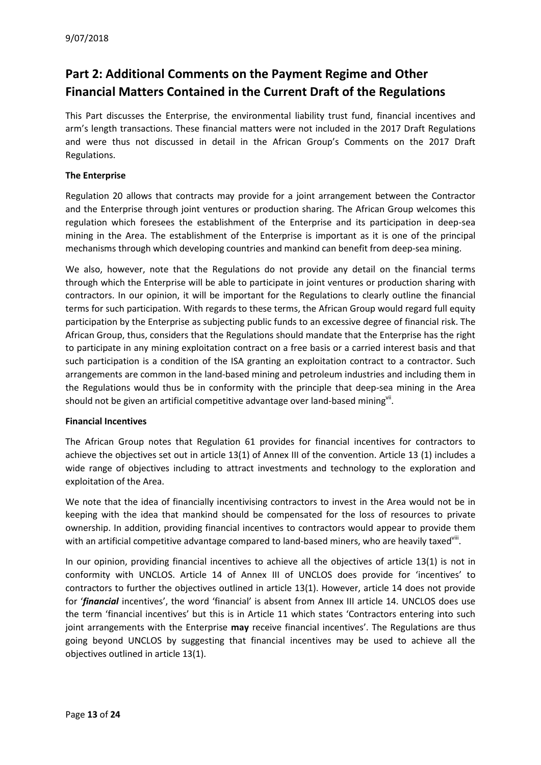# **Part 2: Additional Comments on the Payment Regime and Other Financial Matters Contained in the Current Draft of the Regulations**

This Part discusses the Enterprise, the environmental liability trust fund, financial incentives and arm's length transactions. These financial matters were not included in the 2017 Draft Regulations and were thus not discussed in detail in the African Group's Comments on the 2017 Draft Regulations.

#### **The Enterprise**

Regulation 20 allows that contracts may provide for a joint arrangement between the Contractor and the Enterprise through joint ventures or production sharing. The African Group welcomes this regulation which foresees the establishment of the Enterprise and its participation in deep-sea mining in the Area. The establishment of the Enterprise is important as it is one of the principal mechanisms through which developing countries and mankind can benefit from deep-sea mining.

We also, however, note that the Regulations do not provide any detail on the financial terms through which the Enterprise will be able to participate in joint ventures or production sharing with contractors. In our opinion, it will be important for the Regulations to clearly outline the financial terms for such participation. With regards to these terms, the African Group would regard full equity participation by the Enterprise as subjecting public funds to an excessive degree of financial risk. The African Group, thus, considers that the Regulations should mandate that the Enterprise has the right to participate in any mining exploitation contract on a free basis or a carried interest basis and that such participation is a condition of the ISA granting an exploitation contract to a contractor. Such arrangements are common in the land-based mining and petroleum industries and including them in the Regulations would thus be in conformity with the principle that deep-sea mining in the Area should not be given an artificial competitive advantage over land-based mining<sup>vii</sup>.

#### **Financial Incentives**

The African Group notes that Regulation 61 provides for financial incentives for contractors to achieve the objectives set out in article 13(1) of Annex III of the convention. Article 13 (1) includes a wide range of objectives including to attract investments and technology to the exploration and exploitation of the Area.

We note that the idea of financially incentivising contractors to invest in the Area would not be in keeping with the idea that mankind should be compensated for the loss of resources to private ownership. In addition, providing financial incentives to contractors would appear to provide them with an artificial competitive advantage compared to land-based miners, who are heavily taxed'<sup>'iii</sup>.

In our opinion, providing financial incentives to achieve all the objectives of article 13(1) is not in conformity with UNCLOS. Article 14 of Annex III of UNCLOS does provide for 'incentives' to contractors to further the objectives outlined in article 13(1). However, article 14 does not provide for '*financial* incentives', the word 'financial' is absent from Annex III article 14. UNCLOS does use the term 'financial incentives' but this is in Article 11 which states 'Contractors entering into such joint arrangements with the Enterprise **may** receive financial incentives'. The Regulations are thus going beyond UNCLOS by suggesting that financial incentives may be used to achieve all the objectives outlined in article 13(1).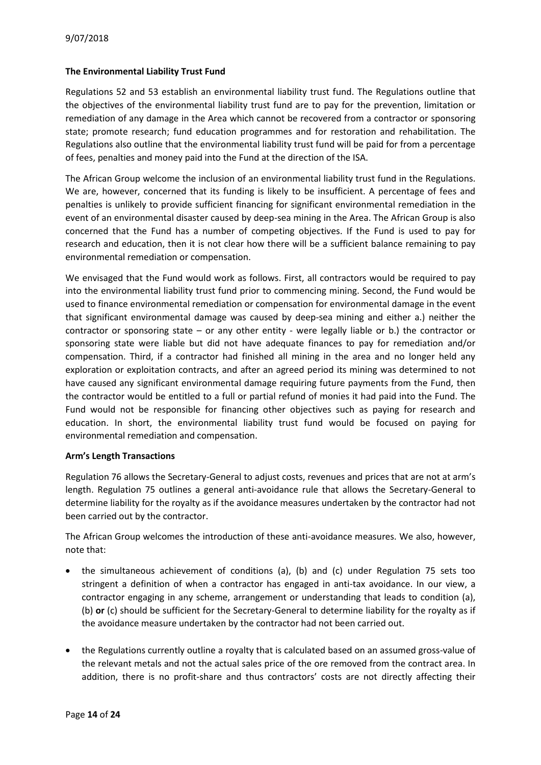#### **The Environmental Liability Trust Fund**

Regulations 52 and 53 establish an environmental liability trust fund. The Regulations outline that the objectives of the environmental liability trust fund are to pay for the prevention, limitation or remediation of any damage in the Area which cannot be recovered from a contractor or sponsoring state; promote research; fund education programmes and for restoration and rehabilitation. The Regulations also outline that the environmental liability trust fund will be paid for from a percentage of fees, penalties and money paid into the Fund at the direction of the ISA.

The African Group welcome the inclusion of an environmental liability trust fund in the Regulations. We are, however, concerned that its funding is likely to be insufficient. A percentage of fees and penalties is unlikely to provide sufficient financing for significant environmental remediation in the event of an environmental disaster caused by deep-sea mining in the Area. The African Group is also concerned that the Fund has a number of competing objectives. If the Fund is used to pay for research and education, then it is not clear how there will be a sufficient balance remaining to pay environmental remediation or compensation.

We envisaged that the Fund would work as follows. First, all contractors would be required to pay into the environmental liability trust fund prior to commencing mining. Second, the Fund would be used to finance environmental remediation or compensation for environmental damage in the event that significant environmental damage was caused by deep-sea mining and either a.) neither the contractor or sponsoring state – or any other entity - were legally liable or b.) the contractor or sponsoring state were liable but did not have adequate finances to pay for remediation and/or compensation. Third, if a contractor had finished all mining in the area and no longer held any exploration or exploitation contracts, and after an agreed period its mining was determined to not have caused any significant environmental damage requiring future payments from the Fund, then the contractor would be entitled to a full or partial refund of monies it had paid into the Fund. The Fund would not be responsible for financing other objectives such as paying for research and education. In short, the environmental liability trust fund would be focused on paying for environmental remediation and compensation.

#### **Arm's Length Transactions**

Regulation 76 allows the Secretary-General to adjust costs, revenues and prices that are not at arm's length. Regulation 75 outlines a general anti-avoidance rule that allows the Secretary-General to determine liability for the royalty as if the avoidance measures undertaken by the contractor had not been carried out by the contractor.

The African Group welcomes the introduction of these anti-avoidance measures. We also, however, note that:

- the simultaneous achievement of conditions (a), (b) and (c) under Regulation 75 sets too stringent a definition of when a contractor has engaged in anti-tax avoidance. In our view, a contractor engaging in any scheme, arrangement or understanding that leads to condition (a), (b) **or** (c) should be sufficient for the Secretary-General to determine liability for the royalty as if the avoidance measure undertaken by the contractor had not been carried out.
- the Regulations currently outline a royalty that is calculated based on an assumed gross-value of the relevant metals and not the actual sales price of the ore removed from the contract area. In addition, there is no profit-share and thus contractors' costs are not directly affecting their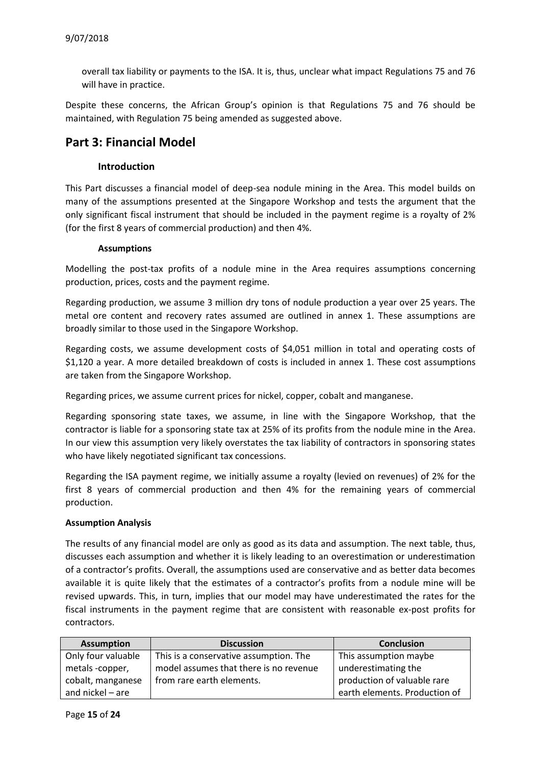overall tax liability or payments to the ISA. It is, thus, unclear what impact Regulations 75 and 76 will have in practice.

Despite these concerns, the African Group's opinion is that Regulations 75 and 76 should be maintained, with Regulation 75 being amended as suggested above.

### **Part 3: Financial Model**

#### **Introduction**

This Part discusses a financial model of deep-sea nodule mining in the Area. This model builds on many of the assumptions presented at the Singapore Workshop and tests the argument that the only significant fiscal instrument that should be included in the payment regime is a royalty of 2% (for the first 8 years of commercial production) and then 4%.

#### **Assumptions**

Modelling the post-tax profits of a nodule mine in the Area requires assumptions concerning production, prices, costs and the payment regime.

Regarding production, we assume 3 million dry tons of nodule production a year over 25 years. The metal ore content and recovery rates assumed are outlined in annex 1. These assumptions are broadly similar to those used in the Singapore Workshop.

Regarding costs, we assume development costs of \$4,051 million in total and operating costs of \$1,120 a year. A more detailed breakdown of costs is included in annex 1. These cost assumptions are taken from the Singapore Workshop.

Regarding prices, we assume current prices for nickel, copper, cobalt and manganese.

Regarding sponsoring state taxes, we assume, in line with the Singapore Workshop, that the contractor is liable for a sponsoring state tax at 25% of its profits from the nodule mine in the Area. In our view this assumption very likely overstates the tax liability of contractors in sponsoring states who have likely negotiated significant tax concessions.

Regarding the ISA payment regime, we initially assume a royalty (levied on revenues) of 2% for the first 8 years of commercial production and then 4% for the remaining years of commercial production.

#### **Assumption Analysis**

The results of any financial model are only as good as its data and assumption. The next table, thus, discusses each assumption and whether it is likely leading to an overestimation or underestimation of a contractor's profits. Overall, the assumptions used are conservative and as better data becomes available it is quite likely that the estimates of a contractor's profits from a nodule mine will be revised upwards. This, in turn, implies that our model may have underestimated the rates for the fiscal instruments in the payment regime that are consistent with reasonable ex-post profits for contractors.

| <b>Assumption</b>  | <b>Discussion</b>                      | <b>Conclusion</b>             |
|--------------------|----------------------------------------|-------------------------------|
| Only four valuable | This is a conservative assumption. The | This assumption maybe         |
| metals -copper,    | model assumes that there is no revenue | underestimating the           |
| cobalt, manganese  | from rare earth elements.              | production of valuable rare   |
| and nickel - are   |                                        | earth elements. Production of |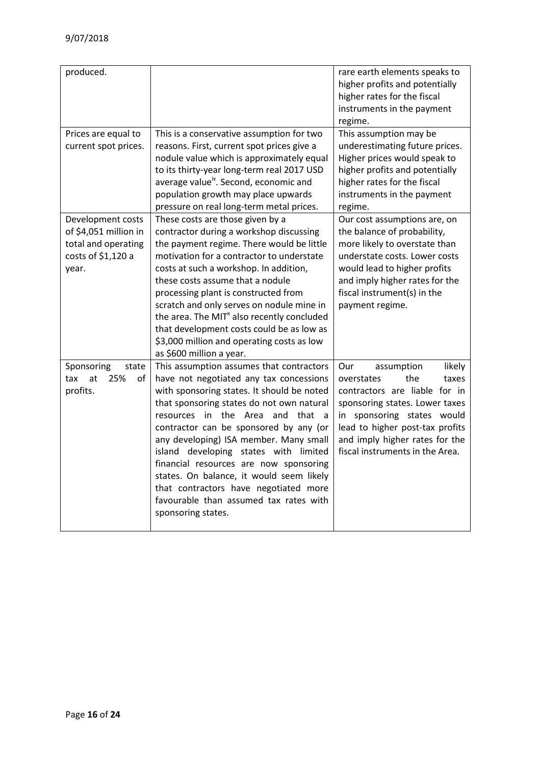| produced.                                                                                        |                                                                                                                                                                                                                                                                                                                                                                                                                                                                                                                                                         | rare earth elements speaks to<br>higher profits and potentially<br>higher rates for the fiscal<br>instruments in the payment<br>regime.                                                                                                                            |
|--------------------------------------------------------------------------------------------------|---------------------------------------------------------------------------------------------------------------------------------------------------------------------------------------------------------------------------------------------------------------------------------------------------------------------------------------------------------------------------------------------------------------------------------------------------------------------------------------------------------------------------------------------------------|--------------------------------------------------------------------------------------------------------------------------------------------------------------------------------------------------------------------------------------------------------------------|
| Prices are equal to<br>current spot prices.                                                      | This is a conservative assumption for two<br>reasons. First, current spot prices give a<br>nodule value which is approximately equal<br>to its thirty-year long-term real 2017 USD<br>average value <sup>ix</sup> . Second, economic and<br>population growth may place upwards<br>pressure on real long-term metal prices.                                                                                                                                                                                                                             | This assumption may be<br>underestimating future prices.<br>Higher prices would speak to<br>higher profits and potentially<br>higher rates for the fiscal<br>instruments in the payment<br>regime.                                                                 |
| Development costs<br>of \$4,051 million in<br>total and operating<br>costs of \$1,120 a<br>year. | These costs are those given by a<br>contractor during a workshop discussing<br>the payment regime. There would be little<br>motivation for a contractor to understate<br>costs at such a workshop. In addition,<br>these costs assume that a nodule<br>processing plant is constructed from<br>scratch and only serves on nodule mine in<br>the area. The MIT <sup>x</sup> also recently concluded<br>that development costs could be as low as<br>\$3,000 million and operating costs as low<br>as \$600 million a year.                               | Our cost assumptions are, on<br>the balance of probability,<br>more likely to overstate than<br>understate costs. Lower costs<br>would lead to higher profits<br>and imply higher rates for the<br>fiscal instrument(s) in the<br>payment regime.                  |
| Sponsoring<br>state<br>at<br>25%<br>tax<br>of<br>profits.                                        | This assumption assumes that contractors<br>have not negotiated any tax concessions<br>with sponsoring states. It should be noted<br>that sponsoring states do not own natural<br>that a<br>in the Area<br>and<br>resources<br>contractor can be sponsored by any (or<br>any developing) ISA member. Many small<br>island developing states with limited<br>financial resources are now sponsoring<br>states. On balance, it would seem likely<br>that contractors have negotiated more<br>favourable than assumed tax rates with<br>sponsoring states. | likely<br>Our<br>assumption<br>the<br>overstates<br>taxes<br>contractors are liable for in<br>sponsoring states. Lower taxes<br>in sponsoring states would<br>lead to higher post-tax profits<br>and imply higher rates for the<br>fiscal instruments in the Area. |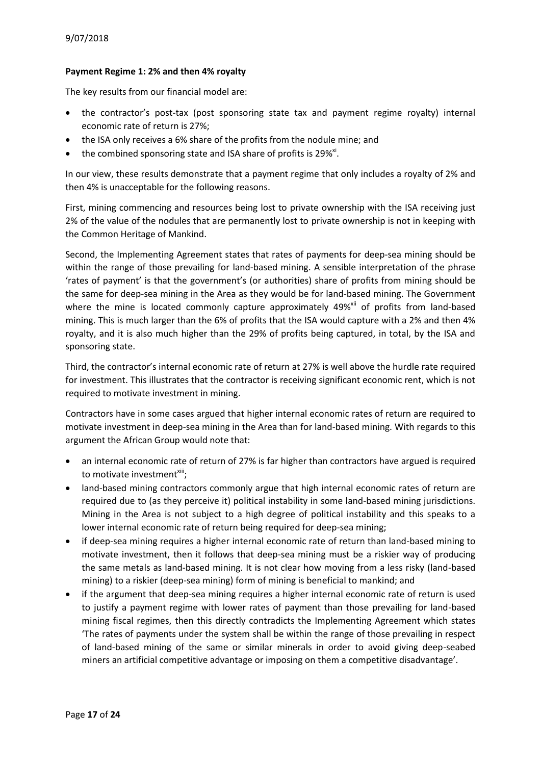#### **Payment Regime 1: 2% and then 4% royalty**

The key results from our financial model are:

- the contractor's post-tax (post sponsoring state tax and payment regime royalty) internal economic rate of return is 27%;
- the ISA only receives a 6% share of the profits from the nodule mine; and
- the combined sponsoring state and ISA share of profits is 29%<sup>xi</sup>.

In our view, these results demonstrate that a payment regime that only includes a royalty of 2% and then 4% is unacceptable for the following reasons.

First, mining commencing and resources being lost to private ownership with the ISA receiving just 2% of the value of the nodules that are permanently lost to private ownership is not in keeping with the Common Heritage of Mankind.

Second, the Implementing Agreement states that rates of payments for deep-sea mining should be within the range of those prevailing for land-based mining. A sensible interpretation of the phrase 'rates of payment' is that the government's (or authorities) share of profits from mining should be the same for deep-sea mining in the Area as they would be for land-based mining. The Government where the mine is located commonly capture approximately 49%<sup>xii</sup> of profits from land-based mining. This is much larger than the 6% of profits that the ISA would capture with a 2% and then 4% royalty, and it is also much higher than the 29% of profits being captured, in total, by the ISA and sponsoring state.

Third, the contractor's internal economic rate of return at 27% is well above the hurdle rate required for investment. This illustrates that the contractor is receiving significant economic rent, which is not required to motivate investment in mining.

Contractors have in some cases argued that higher internal economic rates of return are required to motivate investment in deep-sea mining in the Area than for land-based mining. With regards to this argument the African Group would note that:

- an internal economic rate of return of 27% is far higher than contractors have argued is required to motivate investment<sup>xiii</sup>;
- land-based mining contractors commonly argue that high internal economic rates of return are required due to (as they perceive it) political instability in some land-based mining jurisdictions. Mining in the Area is not subject to a high degree of political instability and this speaks to a lower internal economic rate of return being required for deep-sea mining;
- if deep-sea mining requires a higher internal economic rate of return than land-based mining to motivate investment, then it follows that deep-sea mining must be a riskier way of producing the same metals as land-based mining. It is not clear how moving from a less risky (land-based mining) to a riskier (deep-sea mining) form of mining is beneficial to mankind; and
- if the argument that deep-sea mining requires a higher internal economic rate of return is used to justify a payment regime with lower rates of payment than those prevailing for land-based mining fiscal regimes, then this directly contradicts the Implementing Agreement which states 'The rates of payments under the system shall be within the range of those prevailing in respect of land-based mining of the same or similar minerals in order to avoid giving deep-seabed miners an artificial competitive advantage or imposing on them a competitive disadvantage'.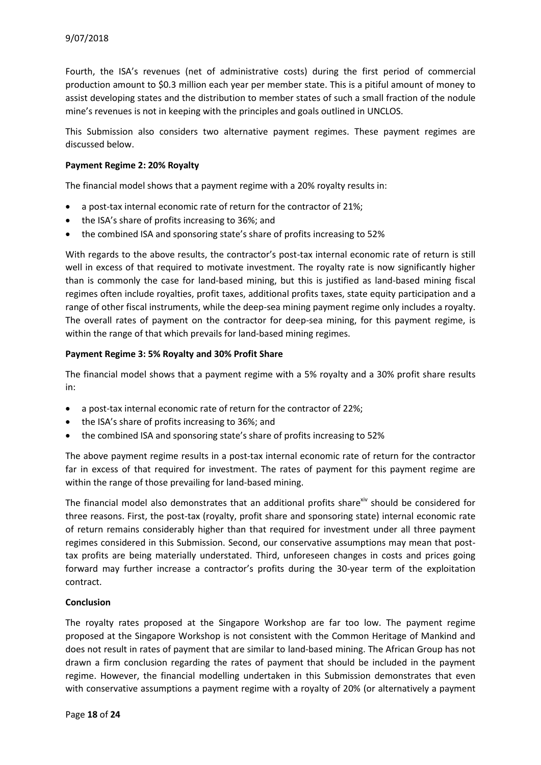Fourth, the ISA's revenues (net of administrative costs) during the first period of commercial production amount to \$0.3 million each year per member state. This is a pitiful amount of money to assist developing states and the distribution to member states of such a small fraction of the nodule mine's revenues is not in keeping with the principles and goals outlined in UNCLOS.

This Submission also considers two alternative payment regimes. These payment regimes are discussed below.

#### **Payment Regime 2: 20% Royalty**

The financial model shows that a payment regime with a 20% royalty results in:

- a post-tax internal economic rate of return for the contractor of 21%;
- the ISA's share of profits increasing to 36%; and
- the combined ISA and sponsoring state's share of profits increasing to 52%

With regards to the above results, the contractor's post-tax internal economic rate of return is still well in excess of that required to motivate investment. The royalty rate is now significantly higher than is commonly the case for land-based mining, but this is justified as land-based mining fiscal regimes often include royalties, profit taxes, additional profits taxes, state equity participation and a range of other fiscal instruments, while the deep-sea mining payment regime only includes a royalty. The overall rates of payment on the contractor for deep-sea mining, for this payment regime, is within the range of that which prevails for land-based mining regimes.

#### **Payment Regime 3: 5% Royalty and 30% Profit Share**

The financial model shows that a payment regime with a 5% royalty and a 30% profit share results in:

- a post-tax internal economic rate of return for the contractor of 22%;
- the ISA's share of profits increasing to 36%; and
- the combined ISA and sponsoring state's share of profits increasing to 52%

The above payment regime results in a post-tax internal economic rate of return for the contractor far in excess of that required for investment. The rates of payment for this payment regime are within the range of those prevailing for land-based mining.

The financial model also demonstrates that an additional profits share $\dot{w}$  should be considered for three reasons. First, the post-tax (royalty, profit share and sponsoring state) internal economic rate of return remains considerably higher than that required for investment under all three payment regimes considered in this Submission. Second, our conservative assumptions may mean that posttax profits are being materially understated. Third, unforeseen changes in costs and prices going forward may further increase a contractor's profits during the 30-year term of the exploitation contract.

#### **Conclusion**

The royalty rates proposed at the Singapore Workshop are far too low. The payment regime proposed at the Singapore Workshop is not consistent with the Common Heritage of Mankind and does not result in rates of payment that are similar to land-based mining. The African Group has not drawn a firm conclusion regarding the rates of payment that should be included in the payment regime. However, the financial modelling undertaken in this Submission demonstrates that even with conservative assumptions a payment regime with a royalty of 20% (or alternatively a payment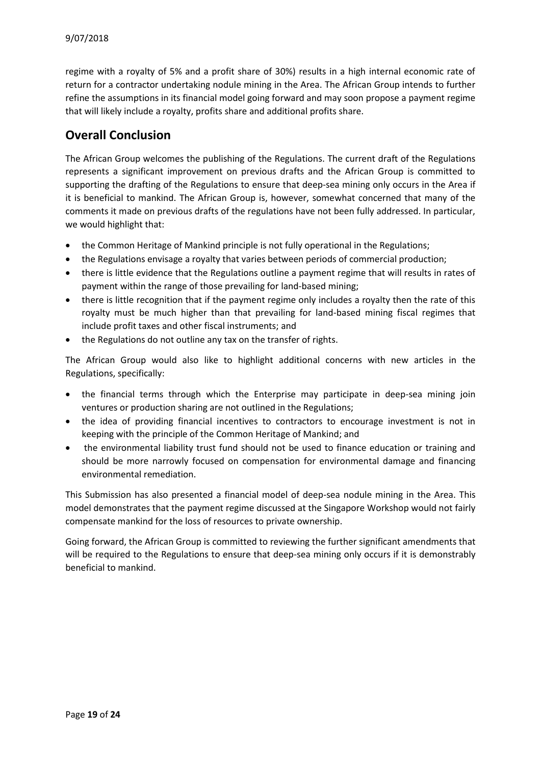regime with a royalty of 5% and a profit share of 30%) results in a high internal economic rate of return for a contractor undertaking nodule mining in the Area. The African Group intends to further refine the assumptions in its financial model going forward and may soon propose a payment regime that will likely include a royalty, profits share and additional profits share.

## **Overall Conclusion**

The African Group welcomes the publishing of the Regulations. The current draft of the Regulations represents a significant improvement on previous drafts and the African Group is committed to supporting the drafting of the Regulations to ensure that deep-sea mining only occurs in the Area if it is beneficial to mankind. The African Group is, however, somewhat concerned that many of the comments it made on previous drafts of the regulations have not been fully addressed. In particular, we would highlight that:

- the Common Heritage of Mankind principle is not fully operational in the Regulations;
- the Regulations envisage a royalty that varies between periods of commercial production;
- there is little evidence that the Regulations outline a payment regime that will results in rates of payment within the range of those prevailing for land-based mining;
- there is little recognition that if the payment regime only includes a royalty then the rate of this royalty must be much higher than that prevailing for land-based mining fiscal regimes that include profit taxes and other fiscal instruments; and
- the Regulations do not outline any tax on the transfer of rights.

The African Group would also like to highlight additional concerns with new articles in the Regulations, specifically:

- the financial terms through which the Enterprise may participate in deep-sea mining join ventures or production sharing are not outlined in the Regulations;
- the idea of providing financial incentives to contractors to encourage investment is not in keeping with the principle of the Common Heritage of Mankind; and
- the environmental liability trust fund should not be used to finance education or training and should be more narrowly focused on compensation for environmental damage and financing environmental remediation.

This Submission has also presented a financial model of deep-sea nodule mining in the Area. This model demonstrates that the payment regime discussed at the Singapore Workshop would not fairly compensate mankind for the loss of resources to private ownership.

Going forward, the African Group is committed to reviewing the further significant amendments that will be required to the Regulations to ensure that deep-sea mining only occurs if it is demonstrably beneficial to mankind.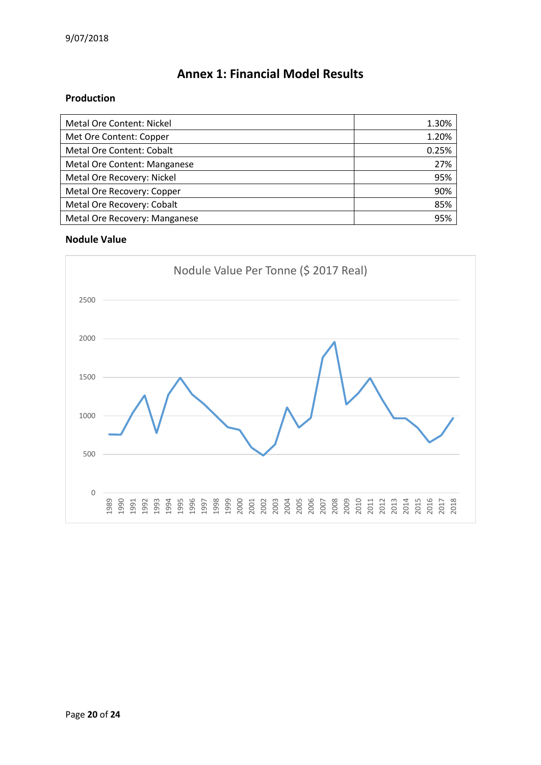# **Annex 1: Financial Model Results**

### **Production**

| Metal Ore Content: Nickel        | 1.30% |
|----------------------------------|-------|
| Met Ore Content: Copper          | 1.20% |
| <b>Metal Ore Content: Cobalt</b> | 0.25% |
| Metal Ore Content: Manganese     | 27%   |
| Metal Ore Recovery: Nickel       | 95%   |
| Metal Ore Recovery: Copper       | 90%   |
| Metal Ore Recovery: Cobalt       | 85%   |
| Metal Ore Recovery: Manganese    | 95%   |

### **Nodule Value**

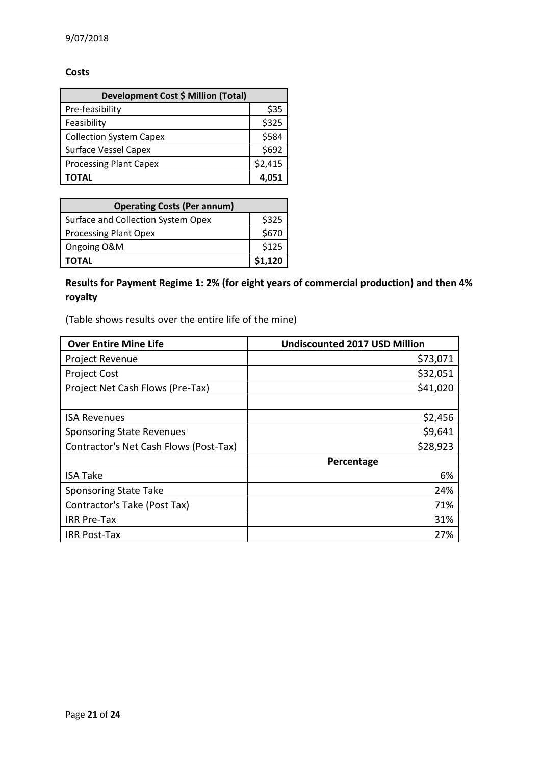#### **Costs**

| Development Cost \$ Million (Total) |         |  |
|-------------------------------------|---------|--|
| Pre-feasibility                     | \$35    |  |
| Feasibility                         | \$325   |  |
| <b>Collection System Capex</b>      | \$584   |  |
| <b>Surface Vessel Capex</b>         | \$692   |  |
| <b>Processing Plant Capex</b>       | \$2,415 |  |
| ΤΟΤΑL                               |         |  |

| <b>Operating Costs (Per annum)</b> |         |  |
|------------------------------------|---------|--|
| Surface and Collection System Opex | \$325   |  |
| <b>Processing Plant Opex</b>       | \$670   |  |
| Ongoing O&M                        | \$125   |  |
| <b>TOTAL</b>                       | \$1,120 |  |

**Results for Payment Regime 1: 2% (for eight years of commercial production) and then 4% royalty**

(Table shows results over the entire life of the mine)

| <b>Over Entire Mine Life</b>           | <b>Undiscounted 2017 USD Million</b> |
|----------------------------------------|--------------------------------------|
| Project Revenue                        | \$73,071                             |
| <b>Project Cost</b>                    | \$32,051                             |
| Project Net Cash Flows (Pre-Tax)       | \$41,020                             |
|                                        |                                      |
| <b>ISA Revenues</b>                    | \$2,456                              |
| <b>Sponsoring State Revenues</b>       | \$9,641                              |
| Contractor's Net Cash Flows (Post-Tax) | \$28,923                             |
|                                        | Percentage                           |
| <b>ISA Take</b>                        | 6%                                   |
| <b>Sponsoring State Take</b>           | 24%                                  |
| Contractor's Take (Post Tax)           | 71%                                  |
| <b>IRR Pre-Tax</b>                     | 31%                                  |
| <b>IRR Post-Tax</b>                    | 27%                                  |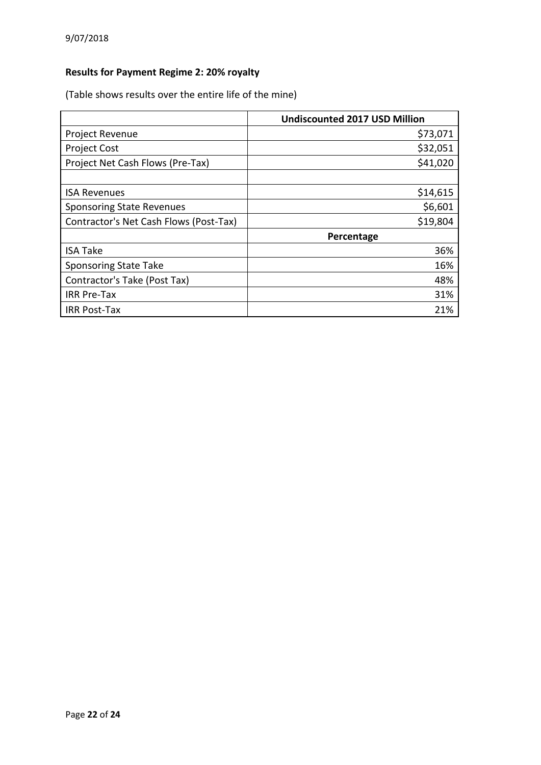# **Results for Payment Regime 2: 20% royalty**

(Table shows results over the entire life of the mine)

|                                        | <b>Undiscounted 2017 USD Million</b> |
|----------------------------------------|--------------------------------------|
| Project Revenue                        | \$73,071                             |
| <b>Project Cost</b>                    | \$32,051                             |
| Project Net Cash Flows (Pre-Tax)       | \$41,020                             |
|                                        |                                      |
| <b>ISA Revenues</b>                    | \$14,615                             |
| <b>Sponsoring State Revenues</b>       | \$6,601                              |
| Contractor's Net Cash Flows (Post-Tax) | \$19,804                             |
|                                        | Percentage                           |
| <b>ISA Take</b>                        | 36%                                  |
| <b>Sponsoring State Take</b>           | 16%                                  |
| Contractor's Take (Post Tax)           | 48%                                  |
| <b>IRR Pre-Tax</b>                     | 31%                                  |
| <b>IRR Post-Tax</b>                    | 21%                                  |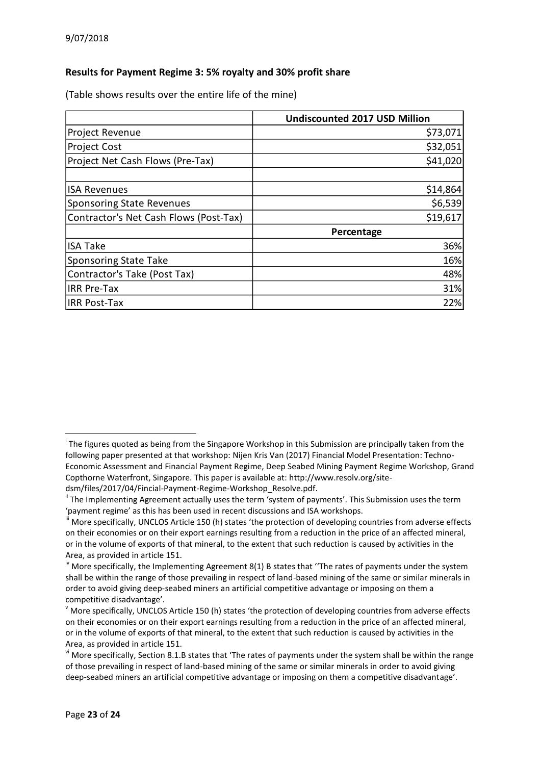### **Results for Payment Regime 3: 5% royalty and 30% profit share**

(Table shows results over the entire life of the mine)

|                                        | <b>Undiscounted 2017 USD Million</b> |
|----------------------------------------|--------------------------------------|
| Project Revenue                        | \$73,071                             |
| <b>Project Cost</b>                    | \$32,051                             |
| Project Net Cash Flows (Pre-Tax)       | \$41,020                             |
|                                        |                                      |
| <b>ISA Revenues</b>                    | \$14,864                             |
| <b>Sponsoring State Revenues</b>       | \$6,539                              |
| Contractor's Net Cash Flows (Post-Tax) | \$19,617                             |
|                                        | Percentage                           |
| <b>ISA Take</b>                        | 36%                                  |
| <b>Sponsoring State Take</b>           | 16%                                  |
| Contractor's Take (Post Tax)           | 48%                                  |
| <b>IRR Pre-Tax</b>                     | 31%                                  |
| <b>IRR Post-Tax</b>                    | 22%                                  |

**.** 

<sup>&</sup>lt;sup>i</sup> The figures quoted as being from the Singapore Workshop in this Submission are principally taken from the following paper presented at that workshop: Nijen Kris Van (2017) Financial Model Presentation: Techno-Economic Assessment and Financial Payment Regime, Deep Seabed Mining Payment Regime Workshop, Grand Copthorne Waterfront, Singapore. This paper is available at: http://www.resolv.org/sitedsm/files/2017/04/Fincial-Payment-Regime-Workshop\_Resolve.pdf.

ii The Implementing Agreement actually uses the term 'system of payments'. This Submission uses the term 'payment regime' as this has been used in recent discussions and ISA workshops.

More specifically, UNCLOS Article 150 (h) states 'the protection of developing countries from adverse effects on their economies or on their export earnings resulting from a reduction in the price of an affected mineral, or in the volume of exports of that mineral, to the extent that such reduction is caused by activities in the Area, as provided in article 151.

<sup>&</sup>lt;sup>iv</sup> More specifically, the Implementing Agreement 8(1) B states that "The rates of payments under the system shall be within the range of those prevailing in respect of land-based mining of the same or similar minerals in order to avoid giving deep-seabed miners an artificial competitive advantage or imposing on them a competitive disadvantage'.

 $\rm{v}$  More specifically, UNCLOS Article 150 (h) states 'the protection of developing countries from adverse effects on their economies or on their export earnings resulting from a reduction in the price of an affected mineral, or in the volume of exports of that mineral, to the extent that such reduction is caused by activities in the Area, as provided in article 151.

v<sup>i</sup> More specifically, Section 8.1.B states that 'The rates of payments under the system shall be within the range of those prevailing in respect of land-based mining of the same or similar minerals in order to avoid giving deep-seabed miners an artificial competitive advantage or imposing on them a competitive disadvantage'.